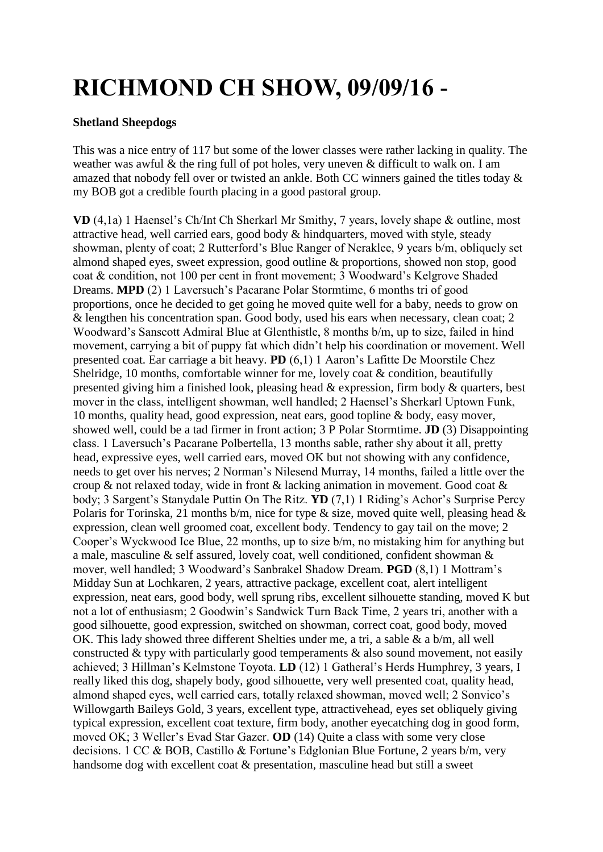## **RICHMOND CH SHOW, 09/09/16 -**

## **Shetland Sheepdogs**

This was a nice entry of 117 but some of the lower classes were rather lacking in quality. The weather was awful & the ring full of pot holes, very uneven & difficult to walk on. I am amazed that nobody fell over or twisted an ankle. Both CC winners gained the titles today & my BOB got a credible fourth placing in a good pastoral group.

**VD** (4,1a) 1 Haensel's Ch/Int Ch Sherkarl Mr Smithy, 7 years, lovely shape & outline, most attractive head, well carried ears, good body & hindquarters, moved with style, steady showman, plenty of coat; 2 Rutterford's Blue Ranger of Neraklee, 9 years b/m, obliquely set almond shaped eyes, sweet expression, good outline & proportions, showed non stop, good coat & condition, not 100 per cent in front movement; 3 Woodward's Kelgrove Shaded Dreams. **MPD** (2) 1 Laversuch's Pacarane Polar Stormtime, 6 months tri of good proportions, once he decided to get going he moved quite well for a baby, needs to grow on & lengthen his concentration span. Good body, used his ears when necessary, clean coat; 2 Woodward's Sanscott Admiral Blue at Glenthistle, 8 months b/m, up to size, failed in hind movement, carrying a bit of puppy fat which didn't help his coordination or movement. Well presented coat. Ear carriage a bit heavy. **PD** (6,1) 1 Aaron's Lafitte De Moorstile Chez Shelridge, 10 months, comfortable winner for me, lovely coat & condition, beautifully presented giving him a finished look, pleasing head & expression, firm body & quarters, best mover in the class, intelligent showman, well handled; 2 Haensel's Sherkarl Uptown Funk, 10 months, quality head, good expression, neat ears, good topline & body, easy mover, showed well, could be a tad firmer in front action; 3 P Polar Stormtime. **JD** (3) Disappointing class. 1 Laversuch's Pacarane Polbertella, 13 months sable, rather shy about it all, pretty head, expressive eyes, well carried ears, moved OK but not showing with any confidence, needs to get over his nerves; 2 Norman's Nilesend Murray, 14 months, failed a little over the croup & not relaxed today, wide in front & lacking animation in movement. Good coat & body; 3 Sargent's Stanydale Puttin On The Ritz. **YD** (7,1) 1 Riding's Achor's Surprise Percy Polaris for Torinska, 21 months b/m, nice for type  $\&$  size, moved quite well, pleasing head  $\&$ expression, clean well groomed coat, excellent body. Tendency to gay tail on the move; 2 Cooper's Wyckwood Ice Blue, 22 months, up to size b/m, no mistaking him for anything but a male, masculine & self assured, lovely coat, well conditioned, confident showman & mover, well handled; 3 Woodward's Sanbrakel Shadow Dream. **PGD** (8,1) 1 Mottram's Midday Sun at Lochkaren, 2 years, attractive package, excellent coat, alert intelligent expression, neat ears, good body, well sprung ribs, excellent silhouette standing, moved K but not a lot of enthusiasm; 2 Goodwin's Sandwick Turn Back Time, 2 years tri, another with a good silhouette, good expression, switched on showman, correct coat, good body, moved OK. This lady showed three different Shelties under me, a tri, a sable & a b/m, all well constructed  $&$  typy with particularly good temperaments  $&$  also sound movement, not easily achieved; 3 Hillman's Kelmstone Toyota. **LD** (12) 1 Gatheral's Herds Humphrey, 3 years, I really liked this dog, shapely body, good silhouette, very well presented coat, quality head, almond shaped eyes, well carried ears, totally relaxed showman, moved well; 2 Sonvico's Willowgarth Baileys Gold, 3 years, excellent type, attractivehead, eyes set obliquely giving typical expression, excellent coat texture, firm body, another eyecatching dog in good form, moved OK; 3 Weller's Evad Star Gazer. **OD** (14) Quite a class with some very close decisions. 1 CC & BOB, Castillo & Fortune's Edglonian Blue Fortune, 2 years b/m, very handsome dog with excellent coat & presentation, masculine head but still a sweet